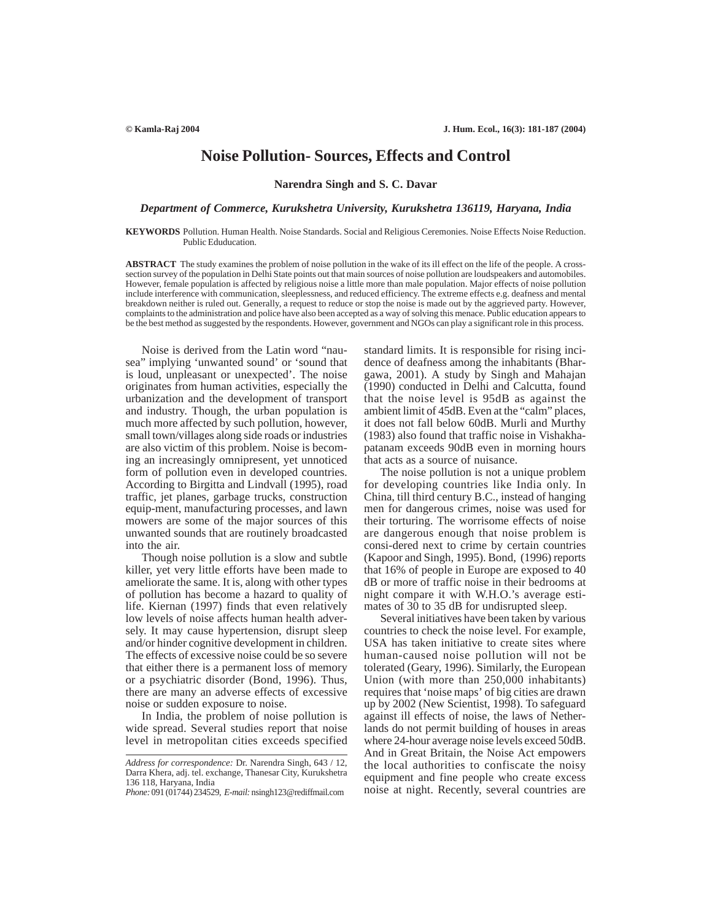# **Noise Pollution- Sources, Effects and Control**

**Narendra Singh and S. C. Davar**

### *Department of Commerce, Kurukshetra University, Kurukshetra 136119, Haryana, India*

**KEYWORDS** Pollution. Human Health. Noise Standards. Social and Religious Ceremonies. Noise Effects Noise Reduction. Public Eduducation.

**ABSTRACT** The study examines the problem of noise pollution in the wake of its ill effect on the life of the people. A crosssection survey of the population in Delhi State points out that main sources of noise pollution are loudspeakers and automobiles. However, female population is affected by religious noise a little more than male population. Major effects of noise pollution include interference with communication, sleeplessness, and reduced efficiency. The extreme effects e.g. deafness and mental breakdown neither is ruled out. Generally, a request to reduce or stop the noise is made out by the aggrieved party. However, complaints to the administration and police have also been accepted as a way of solving this menace. Public education appears to be the best method as suggested by the respondents. However, government and NGOs can play a significant role in this process.

Noise is derived from the Latin word "nausea" implying 'unwanted sound' or 'sound that is loud, unpleasant or unexpected'. The noise originates from human activities, especially the urbanization and the development of transport and industry. Though, the urban population is much more affected by such pollution, however, small town/villages along side roads or industries are also victim of this problem. Noise is becoming an increasingly omnipresent, yet unnoticed form of pollution even in developed countries. According to Birgitta and Lindvall (1995), road traffic, jet planes, garbage trucks, construction equip-ment, manufacturing processes, and lawn mowers are some of the major sources of this unwanted sounds that are routinely broadcasted into the air.

Though noise pollution is a slow and subtle killer, yet very little efforts have been made to ameliorate the same. It is, along with other types of pollution has become a hazard to quality of life. Kiernan (1997) finds that even relatively low levels of noise affects human health adversely. It may cause hypertension, disrupt sleep and/or hinder cognitive development in children. The effects of excessive noise could be so severe that either there is a permanent loss of memory or a psychiatric disorder (Bond, 1996). Thus, there are many an adverse effects of excessive noise or sudden exposure to noise.

In India, the problem of noise pollution is wide spread. Several studies report that noise level in metropolitan cities exceeds specified standard limits. It is responsible for rising incidence of deafness among the inhabitants (Bhargawa, 2001). A study by Singh and Mahajan (1990) conducted in Delhi and Calcutta, found that the noise level is 95dB as against the ambient limit of 45dB. Even at the "calm" places, it does not fall below 60dB. Murli and Murthy (1983) also found that traffic noise in Vishakhapatanam exceeds 90dB even in morning hours that acts as a source of nuisance.

The noise pollution is not a unique problem for developing countries like India only. In China, till third century B.C., instead of hanging men for dangerous crimes, noise was used for their torturing. The worrisome effects of noise are dangerous enough that noise problem is consi-dered next to crime by certain countries (Kapoor and Singh, 1995). Bond, (1996) reports that 16% of people in Europe are exposed to 40 dB or more of traffic noise in their bedrooms at night compare it with W.H.O.'s average estimates of 30 to 35 dB for undisrupted sleep.

Several initiatives have been taken by various countries to check the noise level. For example, USA has taken initiative to create sites where human-caused noise pollution will not be tolerated (Geary, 1996). Similarly, the European Union (with more than 250,000 inhabitants) requires that 'noise maps' of big cities are drawn up by 2002 (New Scientist, 1998). To safeguard against ill effects of noise, the laws of Netherlands do not permit building of houses in areas where 24-hour average noise levels exceed 50dB. And in Great Britain, the Noise Act empowers the local authorities to confiscate the noisy equipment and fine people who create excess noise at night. Recently, several countries are

*Address for correspondence:* Dr. Narendra Singh, 643 / 12, Darra Khera, adj. tel. exchange, Thanesar City, Kurukshetra 136 118, Haryana, India

*Phone:* 091 (01744) 234529, *E-mail:* nsingh123@rediffmail.com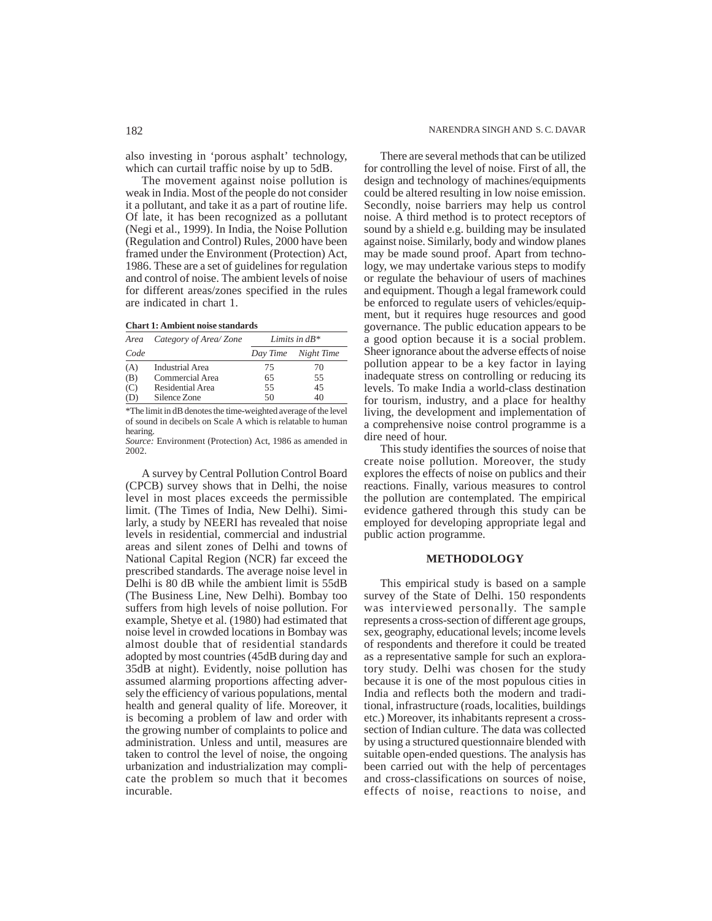The movement against noise pollution is weak in India. Most of the people do not consider it a pollutant, and take it as a part of routine life. Of late, it has been recognized as a pollutant (Negi et al., 1999). In India, the Noise Pollution (Regulation and Control) Rules, 2000 have been framed under the Environment (Protection) Act, 1986. These are a set of guidelines for regulation and control of noise. The ambient levels of noise for different areas/zones specified in the rules are indicated in chart 1.

|  | <b>Chart 1: Ambient noise standards</b> |  |  |  |
|--|-----------------------------------------|--|--|--|
|--|-----------------------------------------|--|--|--|

| Area | Category of Area/Zone | Limits in $dB^*$ |            |  |
|------|-----------------------|------------------|------------|--|
| Code |                       | Day Time         | Night Time |  |
| (A)  | Industrial Area       | 75               | 70         |  |
| (B)  | Commercial Area       | 65               | 55         |  |
| (C)  | Residential Area      | 55               | 45         |  |
| (D)  | Silence Zone          | 50               | 40         |  |

\*The limit in dB denotes the time-weighted average of the level of sound in decibels on Scale A which is relatable to human hearing.

*Source:* Environment (Protection) Act, 1986 as amended in 2002.

A survey by Central Pollution Control Board (CPCB) survey shows that in Delhi, the noise level in most places exceeds the permissible limit. (The Times of India, New Delhi). Similarly, a study by NEERI has revealed that noise levels in residential, commercial and industrial areas and silent zones of Delhi and towns of National Capital Region (NCR) far exceed the prescribed standards. The average noise level in Delhi is 80 dB while the ambient limit is 55dB (The Business Line, New Delhi). Bombay too suffers from high levels of noise pollution. For example, Shetye et al. (1980) had estimated that noise level in crowded locations in Bombay was almost double that of residential standards adopted by most countries (45dB during day and 35dB at night). Evidently, noise pollution has assumed alarming proportions affecting adversely the efficiency of various populations, mental health and general quality of life. Moreover, it is becoming a problem of law and order with the growing number of complaints to police and administration. Unless and until, measures are taken to control the level of noise, the ongoing urbanization and industrialization may complicate the problem so much that it becomes incurable.

There are several methods that can be utilized for controlling the level of noise. First of all, the design and technology of machines/equipments could be altered resulting in low noise emission. Secondly, noise barriers may help us control noise. A third method is to protect receptors of sound by a shield e.g. building may be insulated against noise. Similarly, body and window planes may be made sound proof. Apart from technology, we may undertake various steps to modify or regulate the behaviour of users of machines and equipment. Though a legal framework could be enforced to regulate users of vehicles/equipment, but it requires huge resources and good governance. The public education appears to be a good option because it is a social problem. Sheer ignorance about the adverse effects of noise pollution appear to be a key factor in laying inadequate stress on controlling or reducing its levels. To make India a world-class destination for tourism, industry, and a place for healthy living, the development and implementation of a comprehensive noise control programme is a dire need of hour.

This study identifies the sources of noise that create noise pollution. Moreover, the study explores the effects of noise on publics and their reactions. Finally, various measures to control the pollution are contemplated. The empirical evidence gathered through this study can be employed for developing appropriate legal and public action programme.

#### **METHODOLOGY**

This empirical study is based on a sample survey of the State of Delhi. 150 respondents was interviewed personally. The sample represents a cross-section of different age groups, sex, geography, educational levels; income levels of respondents and therefore it could be treated as a representative sample for such an exploratory study. Delhi was chosen for the study because it is one of the most populous cities in India and reflects both the modern and traditional, infrastructure (roads, localities, buildings etc.) Moreover, its inhabitants represent a crosssection of Indian culture. The data was collected by using a structured questionnaire blended with suitable open-ended questions. The analysis has been carried out with the help of percentages and cross-classifications on sources of noise, effects of noise, reactions to noise, and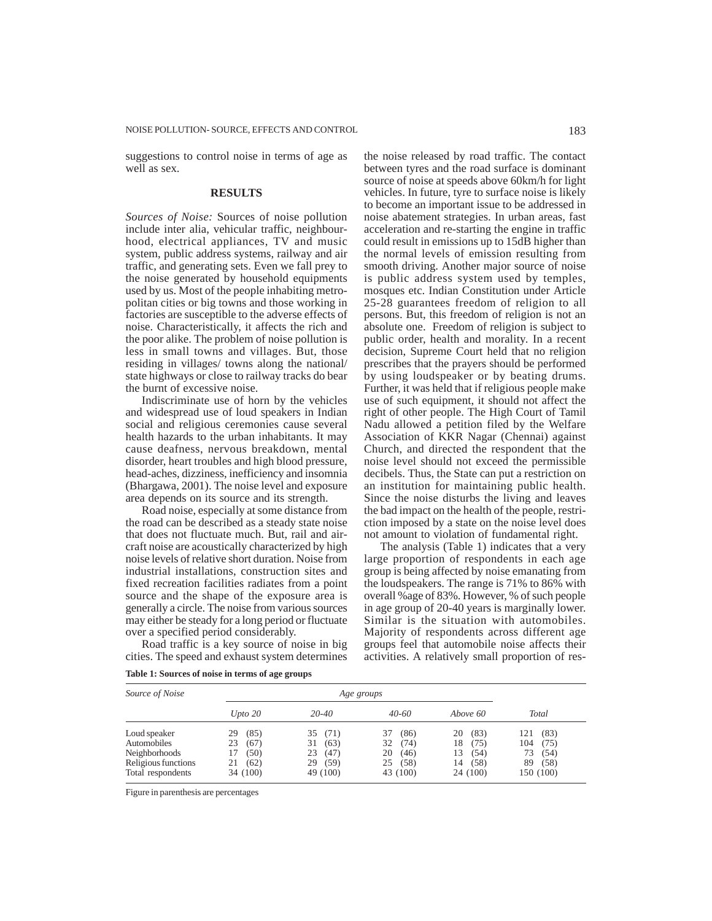suggestions to control noise in terms of age as well as sex.

#### **RESULTS**

*Sources of Noise:* Sources of noise pollution include inter alia, vehicular traffic, neighbourhood, electrical appliances, TV and music system, public address systems, railway and air traffic, and generating sets. Even we fall prey to the noise generated by household equipments used by us. Most of the people inhabiting metropolitan cities or big towns and those working in factories are susceptible to the adverse effects of noise. Characteristically, it affects the rich and the poor alike. The problem of noise pollution is less in small towns and villages. But, those residing in villages/ towns along the national/ state highways or close to railway tracks do bear the burnt of excessive noise.

Indiscriminate use of horn by the vehicles and widespread use of loud speakers in Indian social and religious ceremonies cause several health hazards to the urban inhabitants. It may cause deafness, nervous breakdown, mental disorder, heart troubles and high blood pressure, head-aches, dizziness, inefficiency and insomnia (Bhargawa, 2001). The noise level and exposure area depends on its source and its strength.

Road noise, especially at some distance from the road can be described as a steady state noise that does not fluctuate much. But, rail and aircraft noise are acoustically characterized by high noise levels of relative short duration. Noise from industrial installations, construction sites and fixed recreation facilities radiates from a point source and the shape of the exposure area is generally a circle. The noise from various sources may either be steady for a long period or fluctuate over a specified period considerably.

Road traffic is a key source of noise in big cities. The speed and exhaust system determines the noise released by road traffic. The contact between tyres and the road surface is dominant source of noise at speeds above 60km/h for light vehicles. In future, tyre to surface noise is likely to become an important issue to be addressed in noise abatement strategies. In urban areas, fast acceleration and re-starting the engine in traffic could result in emissions up to 15dB higher than the normal levels of emission resulting from smooth driving. Another major source of noise is public address system used by temples, mosques etc. Indian Constitution under Article 25-28 guarantees freedom of religion to all persons. But, this freedom of religion is not an absolute one. Freedom of religion is subject to public order, health and morality. In a recent decision, Supreme Court held that no religion prescribes that the prayers should be performed by using loudspeaker or by beating drums. Further, it was held that if religious people make use of such equipment, it should not affect the right of other people. The High Court of Tamil Nadu allowed a petition filed by the Welfare Association of KKR Nagar (Chennai) against Church, and directed the respondent that the noise level should not exceed the permissible decibels. Thus, the State can put a restriction on an institution for maintaining public health. Since the noise disturbs the living and leaves the bad impact on the health of the people, restriction imposed by a state on the noise level does not amount to violation of fundamental right.

The analysis (Table 1) indicates that a very large proportion of respondents in each age group is being affected by noise emanating from the loudspeakers. The range is 71% to 86% with overall %age of 83%. However, % of such people in age group of 20-40 years is marginally lower. Similar is the situation with automobiles. Majority of respondents across different age groups feel that automobile noise affects their activities. A relatively small proportion of res-

**Table 1: Sources of noise in terms of age groups**

| Source of Noise     |            | Age groups |            |            |             |  |
|---------------------|------------|------------|------------|------------|-------------|--|
|                     | Upto $20$  | $20 - 40$  | $40 - 60$  | Above 60   | Total       |  |
| Loud speaker        | (85)<br>29 | 35<br>(71) | (86)<br>37 | (83)<br>20 | (83)<br>121 |  |
| Automobiles         | (67)<br>23 | 31<br>(63) | 32<br>(74) | 18<br>(75) | 104<br>(75) |  |
| Neighborhoods       | (50)<br>17 | 23<br>(47) | 20<br>(46) | (54)<br>13 | 73<br>(54)  |  |
| Religious functions | (62)       | 29<br>(59) | (58)<br>25 | (58)<br>14 | 89<br>(58)  |  |
| Total respondents   | 34 (100)   | 49 (100)   | 43 (100)   | 24 (100)   | 150 (100)   |  |

Figure in parenthesis are percentages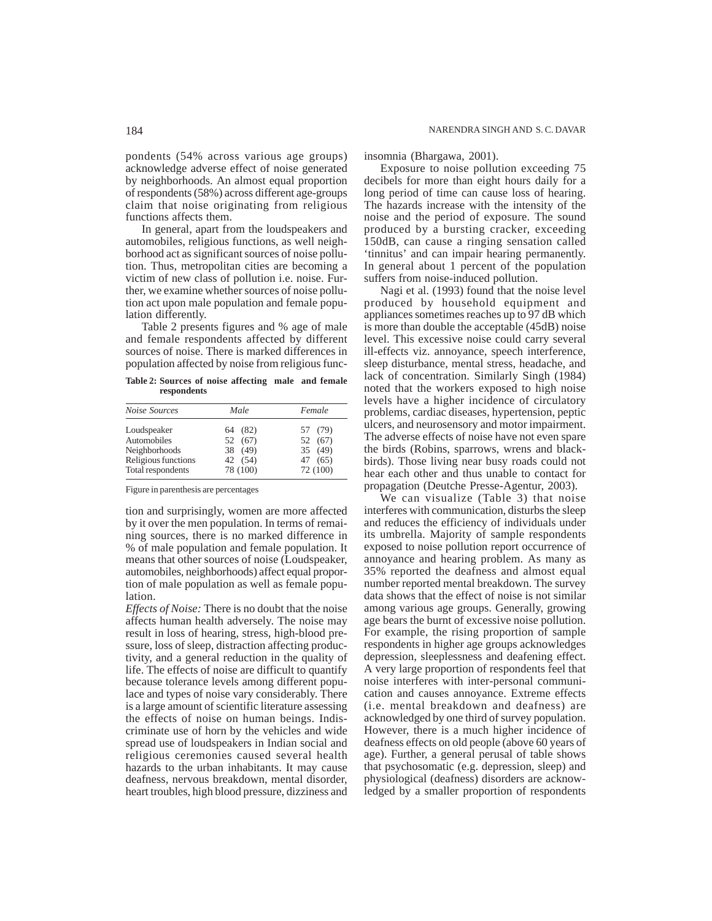pondents (54% across various age groups) acknowledge adverse effect of noise generated by neighborhoods. An almost equal proportion of respondents (58%) across different age-groups claim that noise originating from religious functions affects them.

In general, apart from the loudspeakers and automobiles, religious functions, as well neighborhood act as significant sources of noise pollution. Thus, metropolitan cities are becoming a victim of new class of pollution i.e. noise. Further, we examine whether sources of noise pollution act upon male population and female population differently.

Table 2 presents figures and % age of male and female respondents affected by different sources of noise. There is marked differences in population affected by noise from religious func-

**Table 2: Sources of noise affecting male and female respondents**

| Noise Sources       | Male     | Female   |  |  |
|---------------------|----------|----------|--|--|
| Loudspeaker         | 64 (82)  | 57 (79)  |  |  |
| Automobiles         | 52 (67)  | 52 (67)  |  |  |
| Neighborhoods       | 38 (49)  | 35 (49)  |  |  |
| Religious functions | 42 (54)  | 47 (65)  |  |  |
| Total respondents   | 78 (100) | 72 (100) |  |  |

Figure in parenthesis are percentages

tion and surprisingly, women are more affected by it over the men population. In terms of remaining sources, there is no marked difference in % of male population and female population. It means that other sources of noise (Loudspeaker, automobiles, neighborhoods) affect equal proportion of male population as well as female population.

*Effects of Noise:* There is no doubt that the noise affects human health adversely. The noise may result in loss of hearing, stress, high-blood pressure, loss of sleep, distraction affecting productivity, and a general reduction in the quality of life. The effects of noise are difficult to quantify because tolerance levels among different populace and types of noise vary considerably. There is a large amount of scientific literature assessing the effects of noise on human beings. Indiscriminate use of horn by the vehicles and wide spread use of loudspeakers in Indian social and religious ceremonies caused several health hazards to the urban inhabitants. It may cause deafness, nervous breakdown, mental disorder, heart troubles, high blood pressure, dizziness and

insomnia (Bhargawa, 2001).

Exposure to noise pollution exceeding 75 decibels for more than eight hours daily for a long period of time can cause loss of hearing. The hazards increase with the intensity of the noise and the period of exposure. The sound produced by a bursting cracker, exceeding 150dB, can cause a ringing sensation called 'tinnitus' and can impair hearing permanently. In general about 1 percent of the population suffers from noise-induced pollution.

Nagi et al. (1993) found that the noise level produced by household equipment and appliances sometimes reaches up to 97 dB which is more than double the acceptable (45dB) noise level. This excessive noise could carry several ill-effects viz. annoyance, speech interference, sleep disturbance, mental stress, headache, and lack of concentration. Similarly Singh (1984) noted that the workers exposed to high noise levels have a higher incidence of circulatory problems, cardiac diseases, hypertension, peptic ulcers, and neurosensory and motor impairment. The adverse effects of noise have not even spare the birds (Robins, sparrows, wrens and blackbirds). Those living near busy roads could not hear each other and thus unable to contact for propagation (Deutche Presse-Agentur, 2003).

We can visualize (Table 3) that noise interferes with communication, disturbs the sleep and reduces the efficiency of individuals under its umbrella. Majority of sample respondents exposed to noise pollution report occurrence of annoyance and hearing problem. As many as 35% reported the deafness and almost equal number reported mental breakdown. The survey data shows that the effect of noise is not similar among various age groups. Generally, growing age bears the burnt of excessive noise pollution. For example, the rising proportion of sample respondents in higher age groups acknowledges depression, sleeplessness and deafening effect. A very large proportion of respondents feel that noise interferes with inter-personal communication and causes annoyance. Extreme effects (i.e. mental breakdown and deafness) are acknowledged by one third of survey population. However, there is a much higher incidence of deafness effects on old people (above 60 years of age). Further, a general perusal of table shows that psychosomatic (e.g. depression, sleep) and physiological (deafness) disorders are acknowledged by a smaller proportion of respondents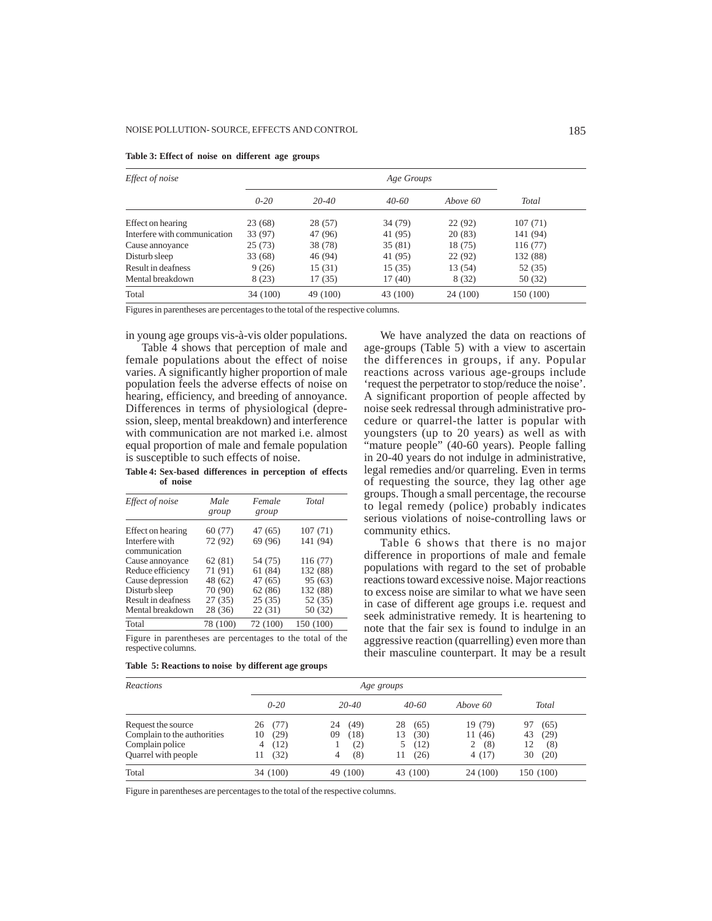| Effect of noise              |          |           | Age Groups |          |           |
|------------------------------|----------|-----------|------------|----------|-----------|
|                              | $0 - 20$ | $20 - 40$ | $40-60$    | Above 60 | Total     |
| Effect on hearing            | 23(68)   | 28 (57)   | 34 (79)    | 22(92)   | 107(71)   |
| Interfere with communication | 33 (97)  | 47 (96)   | 41 (95)    | 20(83)   | 141 (94)  |
| Cause annoyance              | 25(73)   | 38 (78)   | 35(81)     | 18 (75)  | 116(77)   |
| Disturb sleep                | 33(68)   | 46 (94)   | 41 (95)    | 22(92)   | 132 (88)  |
| Result in deafness           | 9(26)    | 15(31)    | 15(35)     | 13 (54)  | 52 (35)   |
| Mental breakdown             | 8(23)    | 17(35)    | 17(40)     | 8(32)    | 50(32)    |
| Total                        | 34 (100) | 49 (100)  | 43 (100)   | 24 (100) | 150 (100) |

#### **Table 3: Effect of noise on different age groups**

Figures in parentheses are percentages to the total of the respective columns.

in young age groups vis-à-vis older populations.

Table 4 shows that perception of male and female populations about the effect of noise varies. A significantly higher proportion of male population feels the adverse effects of noise on hearing, efficiency, and breeding of annoyance. Differences in terms of physiological (depression, sleep, mental breakdown) and interference with communication are not marked i.e. almost equal proportion of male and female population is susceptible to such effects of noise.

**Table 4: Sex-based differences in perception of effects of noise**

| Effect of noise                 | Male<br>group | Female<br>group | Total     |
|---------------------------------|---------------|-----------------|-----------|
| Effect on hearing               | 60(77)        | 47 (65)         | 107(71)   |
| Interfere with<br>communication | 72 (92)       | 69 (96)         | 141 (94)  |
| Cause annoyance                 | 62(81)        | 54 (75)         | 116 (77)  |
| Reduce efficiency               | 71 (91)       | 61(84)          | 132 (88)  |
| Cause depression                | 48 (62)       | 47(65)          | 95(63)    |
| Disturb sleep                   | 70 (90)       | 62(86)          | 132 (88)  |
| Result in deafness              | 27(35)        | 25(35)          | 52 (35)   |
| Mental breakdown                | 28 (36)       | 22(31)          | 50 (32)   |
| Total                           | 78 (100)      | 72 (100)        | 150 (100) |

Figure in parentheses are percentages to the total of the respective columns.

|  |  |  |  |  | Table 5: Reactions to noise by different age groups |  |
|--|--|--|--|--|-----------------------------------------------------|--|
|--|--|--|--|--|-----------------------------------------------------|--|

We have analyzed the data on reactions of age-groups (Table 5) with a view to ascertain the differences in groups, if any. Popular reactions across various age-groups include 'request the perpetrator to stop/reduce the noise'. A significant proportion of people affected by noise seek redressal through administrative procedure or quarrel-the latter is popular with youngsters (up to 20 years) as well as with "mature people" (40-60 years). People falling in 20-40 years do not indulge in administrative, legal remedies and/or quarreling. Even in terms of requesting the source, they lag other age groups. Though a small percentage, the recourse to legal remedy (police) probably indicates serious violations of noise-controlling laws or community ethics.

Table 6 shows that there is no major difference in proportions of male and female populations with regard to the set of probable reactions toward excessive noise. Major reactions to excess noise are similar to what we have seen in case of different age groups i.e. request and seek administrative remedy. It is heartening to note that the fair sex is found to indulge in an aggressive reaction (quarrelling) even more than their masculine counterpart. It may be a result

| <b>Reactions</b>            |            |            | Age groups |          |            |
|-----------------------------|------------|------------|------------|----------|------------|
|                             | $0 - 20$   | $20 - 40$  | $40 - 60$  | Above 60 | Total      |
| Request the source          | 26<br>(77) | (49)<br>24 | 28<br>(65) | 19 (79)  | (65)<br>97 |
| Complain to the authorities | (29)<br>10 | (18)<br>09 | (30)<br>13 | 11 (46)  | (29)<br>43 |
| Complain police             | (12)<br>4  | (2)        | (12)       | (8)<br>2 | 12<br>(8)  |
| Quarrel with people         | (32)<br>11 | (8)<br>4   | (26)<br>11 | 4 (17)   | 30<br>(20) |
| Total                       | 34 (100)   | 49 (100)   | 43 (100)   | 24 (100) | 150 (100)  |

Figure in parentheses are percentages to the total of the respective columns.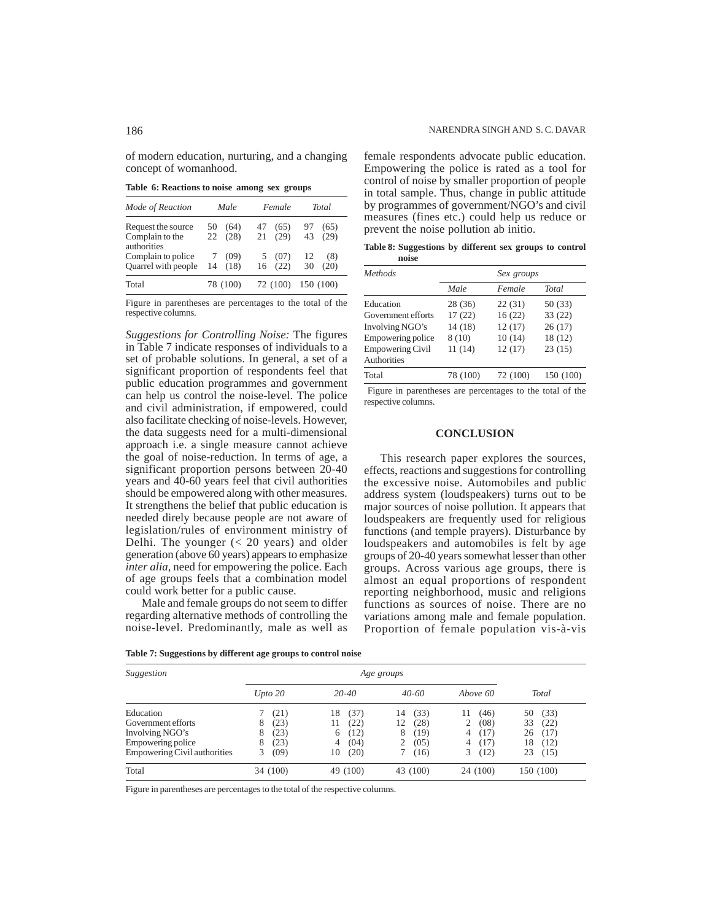**Table 6: Reactions to noise among sex groups**

concept of womanhood.

| Mode of Reaction                                     | Male                     | Female                   | Total                    |  |
|------------------------------------------------------|--------------------------|--------------------------|--------------------------|--|
| Request the source<br>Complain to the<br>authorities | (64)<br>50<br>(28)<br>22 | 47<br>(65)<br>(29)<br>21 | (65)<br>97<br>43<br>(29) |  |
| Complain to police<br><b>Ouarrel</b> with people     | (09)<br>(18)<br>14       | 5(07)<br>(22)<br>16      | 12<br>(8)<br>30<br>(20)  |  |
| Total                                                | 78 (100)                 | 72 (100)                 | 150 (100)                |  |

Figure in parentheses are percentages to the total of the respective columns.

*Suggestions for Controlling Noise:* The figures in Table 7 indicate responses of individuals to a set of probable solutions. In general, a set of a significant proportion of respondents feel that public education programmes and government can help us control the noise-level. The police and civil administration, if empowered, could also facilitate checking of noise-levels. However, the data suggests need for a multi-dimensional approach i.e. a single measure cannot achieve the goal of noise-reduction. In terms of age, a significant proportion persons between 20-40 years and 40-60 years feel that civil authorities should be empowered along with other measures. It strengthens the belief that public education is needed direly because people are not aware of legislation/rules of environment ministry of Delhi. The younger (< 20 years) and older generation (above 60 years) appears to emphasize *inter alia*, need for empowering the police. Each of age groups feels that a combination model could work better for a public cause.

Male and female groups do not seem to differ regarding alternative methods of controlling the noise-level. Predominantly, male as well as female respondents advocate public education. Empowering the police is rated as a tool for control of noise by smaller proportion of people in total sample. Thus, change in public attitude by programmes of government/NGO's and civil measures (fines etc.) could help us reduce or prevent the noise pollution ab initio.

**Table 8: Suggestions by different sex groups to control noise**

| Methods                 |          | Sex groups |           |
|-------------------------|----------|------------|-----------|
|                         | Male     | Female     | Total     |
| Education               | 28 (36)  | 22(31)     | 50 (33)   |
| Government efforts      | 17(22)   | 16(22)     | 33(22)    |
| Involving NGO's         | 14(18)   | 12(17)     | 26(17)    |
| Empowering police       | 8(10)    | 10(14)     | 18 (12)   |
| <b>Empowering Civil</b> | 11(14)   | 12(17)     | 23(15)    |
| Authorities             |          |            |           |
| Total                   | 78 (100) | 72 (100)   | 150 (100) |

 Figure in parentheses are percentages to the total of the respective columns.

## **CONCLUSION**

This research paper explores the sources, effects, reactions and suggestions for controlling the excessive noise. Automobiles and public address system (loudspeakers) turns out to be major sources of noise pollution. It appears that loudspeakers are frequently used for religious functions (and temple prayers). Disturbance by loudspeakers and automobiles is felt by age groups of 20-40 years somewhat lesser than other groups. Across various age groups, there is almost an equal proportions of respondent reporting neighborhood, music and religions functions as sources of noise. There are no variations among male and female population. Proportion of female population vis-à-vis

| Suggestion                   |           |            |            |            |            |
|------------------------------|-----------|------------|------------|------------|------------|
|                              | Upto 20   | $20 - 40$  | $40 - 60$  | Above 60   | Total      |
| Education                    | (21)      | (37)<br>18 | (33)<br>14 | (46)<br>11 | (33)<br>50 |
| Government efforts           | 8<br>(23) | (22)<br>11 | (28)<br>12 | (08)<br>2  | 33<br>(22) |
| Involving NGO's              | 8<br>(23) | (12)<br>6  | (19)<br>8  | (17)<br>4  | 26<br>(17) |
| Empowering police            | 8<br>(23) | (04)<br>4  | (05)       | (17)<br>4  | 18<br>(12) |
| Empowering Civil authorities | (09)<br>3 | (20)<br>10 | (16)       | (12)<br>3. | 23<br>(15) |
| Total                        | 34 (100)  | 49 (100)   | 43 (100)   | 24 (100)   | 150 (100)  |

**Table 7: Suggestions by different age groups to control noise**

Figure in parentheses are percentages to the total of the respective columns.